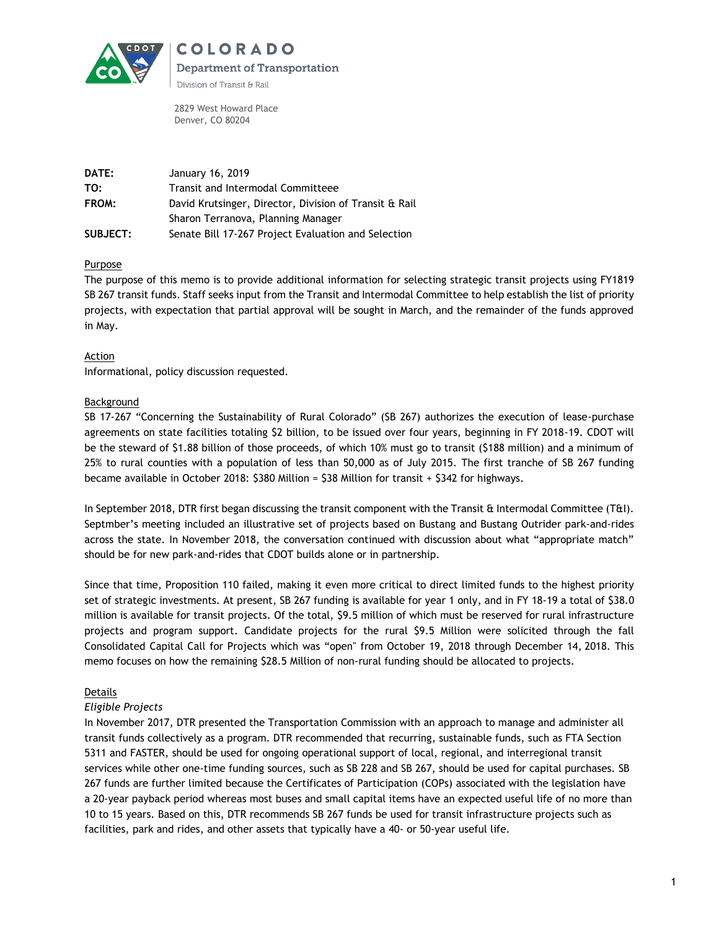

COLORADO Department of Transportation Division of Transit & Rail

2829 West Howard Place Denver, CO 80204

| <b>DATE:</b>    | January 16, 2019                                       |
|-----------------|--------------------------------------------------------|
| TO:             | Transit and Intermodal Committeee                      |
| FROM:           | David Krutsinger, Director, Division of Transit & Rail |
|                 | Sharon Terranova, Planning Manager                     |
| <b>SUBJECT:</b> | Senate Bill 17-267 Project Evaluation and Selection    |

### **Purpose**

The purpose of this memo is to provide additional information for selecting strategic transit projects using FY1819 SB 267 transit funds. Staff seeks input from the Transit and Intermodal Committee to help establish the list of priority projects, with expectation that partial approval will be sought in March, and the remainder of the funds approved in May.

### **Action**

Informational, policy discussion requested.

## Background

SB 17-267 "Concerning the Sustainability of Rural Colorado" (SB 267) authorizes the execution of lease-purchase agreements on state facilities totaling \$2 billion, to be issued over four years, beginning in FY 2018-19. CDOT will be the steward of \$1.88 billion of those proceeds, of which 10% must go to transit (\$188 million) and a minimum of 25% to rural counties with a population of less than 50,000 as of July 2015. The first tranche of SB 267 funding became available in October 2018: \$380 Million = \$38 Million for transit + \$342 for highways.

In September 2018, DTR first began discussing the transit component with the Transit & Intermodal Committee (T&I). Septmber's meeting included an illustrative set of projects based on Bustang and Bustang Outrider park-and-rides across the state. In November 2018, the conversation continued with discussion about what "appropriate match" should be for new park-and-rides that CDOT builds alone or in partnership.

Since that time, Proposition 110 failed, making it even more critical to direct limited funds to the highest priority set of strategic investments. At present, SB 267 funding is available for year 1 only, and in FY 18-19 a total of \$38.0 million is available for transit projects. Of the total, \$9.5 million of which must be reserved for rural infrastructure projects and program support. Candidate projects for the rural \$9.5 Million were solicited through the fall Consolidated Capital Call for Projects which was "open" from October 19, 2018 through December 14, 2018. This memo focuses on how the remaining \$28.5 Million of non-rural funding should be allocated to projects.

### **Details**

### *Eligible Projects*

In November 2017, DTR presented the Transportation Commission with an approach to manage and administer all transit funds collectively as a program. DTR recommended that recurring, sustainable funds, such as FTA Section 5311 and FASTER, should be used for ongoing operational support of local, regional, and interregional transit services while other one-time funding sources, such as SB 228 and SB 267, should be used for capital purchases. SB 267 funds are further limited because the Certificates of Participation (COPs) associated with the legislation have a 20-year payback period whereas most buses and small capital items have an expected useful life of no more than 10 to 15 years. Based on this, DTR recommends SB 267 funds be used for transit infrastructure projects such as facilities, park and rides, and other assets that typically have a 40- or 50-year useful life.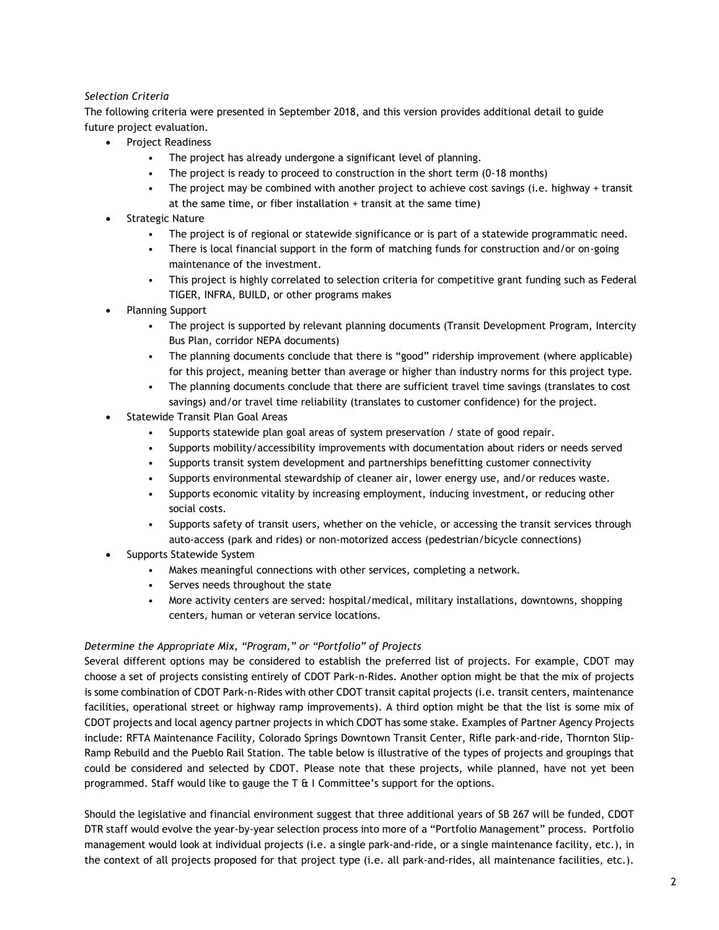# *Selection Criteria*

The following criteria were presented in September 2018, and this version provides additional detail to guide future project evaluation.

- Project Readiness
	- The project has already undergone a significant level of planning.
	- The project is ready to proceed to construction in the short term (0-18 months)
	- The project may be combined with another project to achieve cost savings (i.e. highway + transit at the same time, or fiber installation + transit at the same time)
- Strategic Nature
	- The project is of regional or statewide significance or is part of a statewide programmatic need.
	- There is local financial support in the form of matching funds for construction and/or on-going maintenance of the investment.
	- This project is highly correlated to selection criteria for competitive grant funding such as Federal TIGER, INFRA, BUILD, or other programs makes
- Planning Support
	- The project is supported by relevant planning documents (Transit Development Program, Intercity Bus Plan, corridor NEPA documents)
	- The planning documents conclude that there is "good" ridership improvement (where applicable) for this project, meaning better than average or higher than industry norms for this project type.
	- The planning documents conclude that there are sufficient travel time savings (translates to cost savings) and/or travel time reliability (translates to customer confidence) for the project.
- Statewide Transit Plan Goal Areas
	- Supports statewide plan goal areas of system preservation / state of good repair.
	- Supports mobility/accessibility improvements with documentation about riders or needs served
	- Supports transit system development and partnerships benefitting customer connectivity
	- Supports environmental stewardship of cleaner air, lower energy use, and/or reduces waste.
	- Supports economic vitality by increasing employment, inducing investment, or reducing other social costs.
	- Supports safety of transit users, whether on the vehicle, or accessing the transit services through auto-access (park and rides) or non-motorized access (pedestrian/bicycle connections)
- Supports Statewide System
	- Makes meaningful connections with other services, completing a network.
	- Serves needs throughout the state
	- More activity centers are served: hospital/medical, military installations, downtowns, shopping centers, human or veteran service locations.

### *Determine the Appropriate Mix, "Program," or "Portfolio" of Projects*

Several different options may be considered to establish the preferred list of projects. For example, CDOT may choose a set of projects consisting entirely of CDOT Park-n-Rides. Another option might be that the mix of projects is some combination of CDOT Park-n-Rides with other CDOT transit capital projects (i.e. transit centers, maintenance facilities, operational street or highway ramp improvements). A third option might be that the list is some mix of CDOT projects and local agency partner projects in which CDOT has some stake. Examples of Partner Agency Projects include: RFTA Maintenance Facility, Colorado Springs Downtown Transit Center, Rifle park-and-ride, Thornton Slip-Ramp Rebuild and the Pueblo Rail Station. The table below is illustrative of the types of projects and groupings that could be considered and selected by CDOT. Please note that these projects, while planned, have not yet been programmed. Staff would like to gauge the  $T \& I$  Committee's support for the options.

Should the legislative and financial environment suggest that three additional years of SB 267 will be funded, CDOT DTR staff would evolve the year-by-year selection process into more of a "Portfolio Management" process. Portfolio management would look at individual projects (i.e. a single park-and-ride, or a single maintenance facility, etc.), in the context of all projects proposed for that project type (i.e. all park-and-rides, all maintenance facilities, etc.).